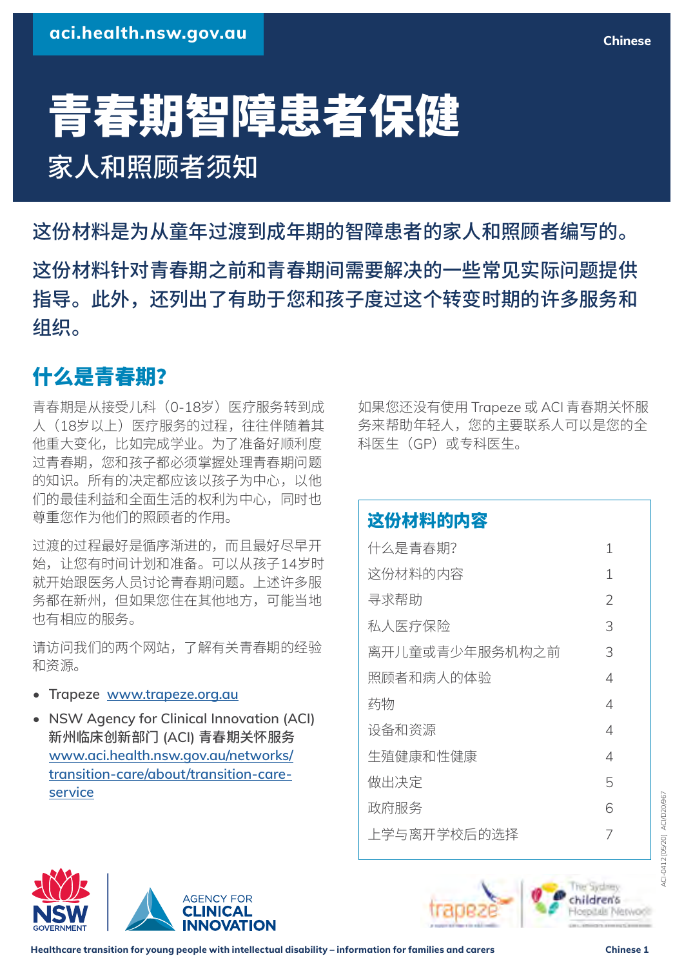# 青春期智障患者保健 家人和照顾者须知

这份材料是为从童年过渡到成年期的智障患者的家人和照顾者编写的。 这份材料针对青春期之前和青春期间需要解决的一些常见实际问题提供 指导。此外,还列出了有助于您和孩子度过这个转变时期的许多服务和 组织。

# 什么是青春期?

青春期是从接受儿科(0-18岁)医疗服务转到成 人 (18岁以上) 医疗服务的过程, 往往伴随着其 他重大变化,比如完成学业。为了准备好顺利度 过青春期,您和孩子都必须掌握处理青春期问题 的知识。所有的决定都应该以孩子为中心,以他 们的最佳利益和全面生活的权利为中心,同时也 尊重您作为他们的照顾者的作用。

过渡的过程最好是循序渐进的,而且最好尽早开 始,让您有时间计划和准备。可以从孩子14岁时 就开始跟医务人员讨论青春期问题。上述许多服 务都在新州,但如果您住在其他地方,可能当地 也有相应的服务。

请访问我们的两个网站,了解有关青春期的经验 和资源。

- **Trapeze [www.trapeze.org.au](http://www.trapeze.org.au)**
- **NSW Agency for Clinical Innovation (ACI)** 新州临床创新部门 **(ACI)** 青春期关怀服务 **[www.aci.health.nsw.gov.au/networks/](http://www.aci.health.nsw.gov.au/networks/transition-care/about/transition-care-service) [transition-care/about/transition-care](http://www.aci.health.nsw.gov.au/networks/transition-care/about/transition-care-service)[service](http://www.aci.health.nsw.gov.au/networks/transition-care/about/transition-care-service)**

如果您还没有使用 Trapeze 或 ACI 青春期关怀服 务来帮助年轻人,您的主要联系人可以是您的全 科医生(GP)或专科医生。

## 这份材料的内容

| 什么是青春期?        | 1              |
|----------------|----------------|
| 这份材料的内容        | 1              |
| 寻求帮助           | $\overline{2}$ |
| 私人医疗保险         | 3              |
| 离开儿童或青少年服务机构之前 | 3              |
| 照顾者和病人的体验      | 4              |
| 药物             | 4              |
| 设备和资源          | 4              |
| 生殖健康和性健康       | 4              |
| 做出决定           | 5              |
| 政府服务           | 6              |
| 上学与离开学校后的选择    | 7              |
|                |                |







**Chinese**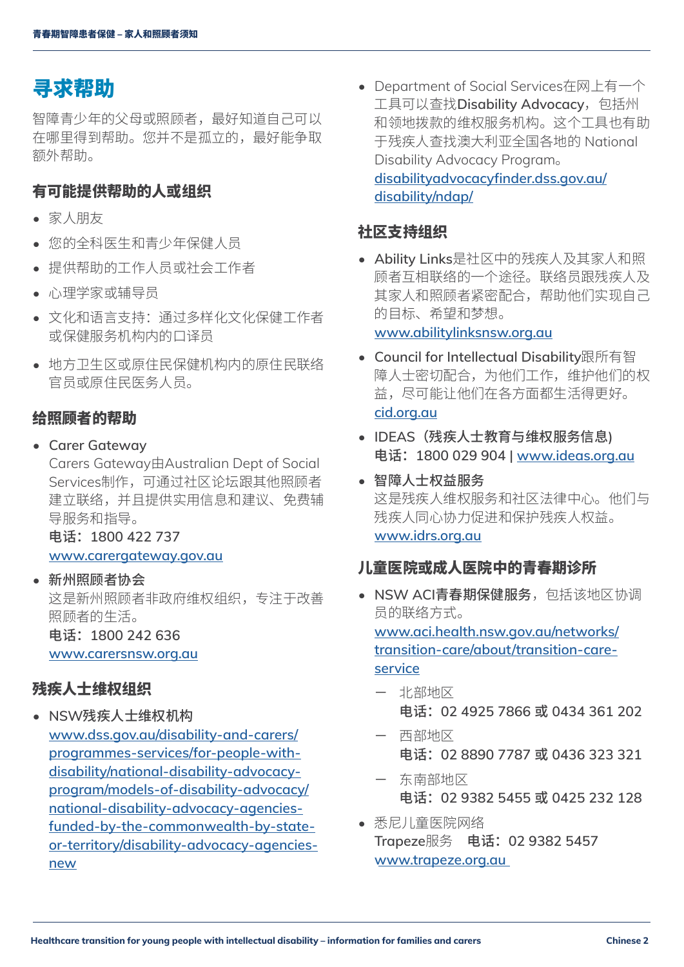## <span id="page-1-0"></span>寻求帮助

智障青少年的父母或照顾者,最好知道自己可以 在哪里得到帮助。您并不是孤立的,最好能争取 额外帮助。

### 有可能提供帮助的人或组织

- 家人朋友
- 您的全科医生和青少年保健人员
- 提供帮助的工作人员或社会工作者
- 心理学家或辅导员
- 文化和语言支持:通过多样化文化保健工作者 或保健服务机构内的口译员
- 地方卫生区或原住民保健机构内的原住民联络 官员或原住民医务人员。

#### 给照顾者的帮助

• **Carer Gateway** 

Carers Gateway由Australian Dept of Social Services制作,可通过社区论坛跟其他照顾者 建立联络,并且提供实用信息和建议、免费辅 导服务和指导。

电话:**1800 422 737** 

**[www.carergateway.gov.au](http://www.carergateway.gov.au)**

• 新州照顾者协会

这是新州照顾者非政府维权组织,专注于改善 照顾者的生活。

电话:**1800 242 636** 

**[www.carersnsw.org.au](http://www.carersnsw.org.au)**

#### 残疾人士维权组织

• **NSW**残疾人士维权机构 **[www.dss.gov.au/disability-and-carers/](http://www.dss.gov.au/disability-and-carers/programmes-services/for-people-with-disability/national-disability-advocacy-program/models-of-disability-advocacy/national-disability-advocacy-agencies-funded-by-the-commonwealth-by-state-or-territory/disability-advocacy-agencies-new) [programmes-services/for-people-with](http://www.dss.gov.au/disability-and-carers/programmes-services/for-people-with-disability/national-disability-advocacy-program/models-of-disability-advocacy/national-disability-advocacy-agencies-funded-by-the-commonwealth-by-state-or-territory/disability-advocacy-agencies-new)[disability/national-disability-advocacy](http://www.dss.gov.au/disability-and-carers/programmes-services/for-people-with-disability/national-disability-advocacy-program/models-of-disability-advocacy/national-disability-advocacy-agencies-funded-by-the-commonwealth-by-state-or-territory/disability-advocacy-agencies-new)[program/models-of-disability-advocacy/](http://www.dss.gov.au/disability-and-carers/programmes-services/for-people-with-disability/national-disability-advocacy-program/models-of-disability-advocacy/national-disability-advocacy-agencies-funded-by-the-commonwealth-by-state-or-territory/disability-advocacy-agencies-new) [national-disability-advocacy-agencies](http://www.dss.gov.au/disability-and-carers/programmes-services/for-people-with-disability/national-disability-advocacy-program/models-of-disability-advocacy/national-disability-advocacy-agencies-funded-by-the-commonwealth-by-state-or-territory/disability-advocacy-agencies-new)[funded-by-the-commonwealth-by-state](http://www.dss.gov.au/disability-and-carers/programmes-services/for-people-with-disability/national-disability-advocacy-program/models-of-disability-advocacy/national-disability-advocacy-agencies-funded-by-the-commonwealth-by-state-or-territory/disability-advocacy-agencies-new)[or-territory/disability-advocacy-agencies](http://www.dss.gov.au/disability-and-carers/programmes-services/for-people-with-disability/national-disability-advocacy-program/models-of-disability-advocacy/national-disability-advocacy-agencies-funded-by-the-commonwealth-by-state-or-territory/disability-advocacy-agencies-new)[new](http://www.dss.gov.au/disability-and-carers/programmes-services/for-people-with-disability/national-disability-advocacy-program/models-of-disability-advocacy/national-disability-advocacy-agencies-funded-by-the-commonwealth-by-state-or-territory/disability-advocacy-agencies-new)**

• Department of Social Services在网上有一个 工具可以查找Disability Advocacy, 包括州 和领地拨款的维权服务机构。这个工具也有助 于残疾人查找澳大利亚全国各地的 National Disability Advocacy Program。 **[disabilityadvocacyfinder.dss.gov.au/](https://disabilityadvocacyfinder.dss.gov.au/disability/ndap/) [disability/ndap/](https://disabilityadvocacyfinder.dss.gov.au/disability/ndap/)**

### 社区支持组织

- **Ability Links**是社区中的残疾人及其家人和照 顾者互相联络的一个途径。联络员跟残疾人及 其家人和照顾者紧密配合,帮助他们实现自己 的目标、希望和梦想。 **[www.abilitylinksnsw.org.au](http://www.abilitylinksnsw.org.au)**
- **Council for Intellectual Disability**跟所有智 障人士密切配合,为他们工作,维护他们的权 益,尽可能让他们在各方面都生活得更好。 **[cid.org.au](https://cid.org.au)**
- **IDEAS**(残疾人士教育与维权服务信息**)**  电话:**1800 029 904 | [www.ideas.org.au](http://www.ideas.org.au)**
- 智障人士权益服务 这是残疾人维权服务和社区法律中心。他们与 残疾人同心协力促进和保护残疾人权益。 **[www.idrs.org.au](http://www.idrs.org.au)**

#### 儿童医院或成人医院中的青春期诊所

- **NSW ACI**青春期保健服务,包括该地区协调 员的联络方式。 **[www.aci.health.nsw.gov.au/networks/](http://www.aci.health.nsw.gov.au/networks/transition-care/about/transition-care-service) [transition-care/about/transition-care](http://www.aci.health.nsw.gov.au/networks/transition-care/about/transition-care-service)[service](http://www.aci.health.nsw.gov.au/networks/transition-care/about/transition-care-service)**
	- 北部地区 电话:**02 4925 7866** 或 **0434 361 202**
	- 西部地区 电话:**02 8890 7787** 或 **0436 323 321**
	- 东南部地区 电话:**02 9382 5455** 或 **0425 232 128**
- 悉尼儿童医院网络 **Trapeze**服务 电话:**02 9382 5457 [www.trapeze.org.au](http://www.trapeze.org.au)**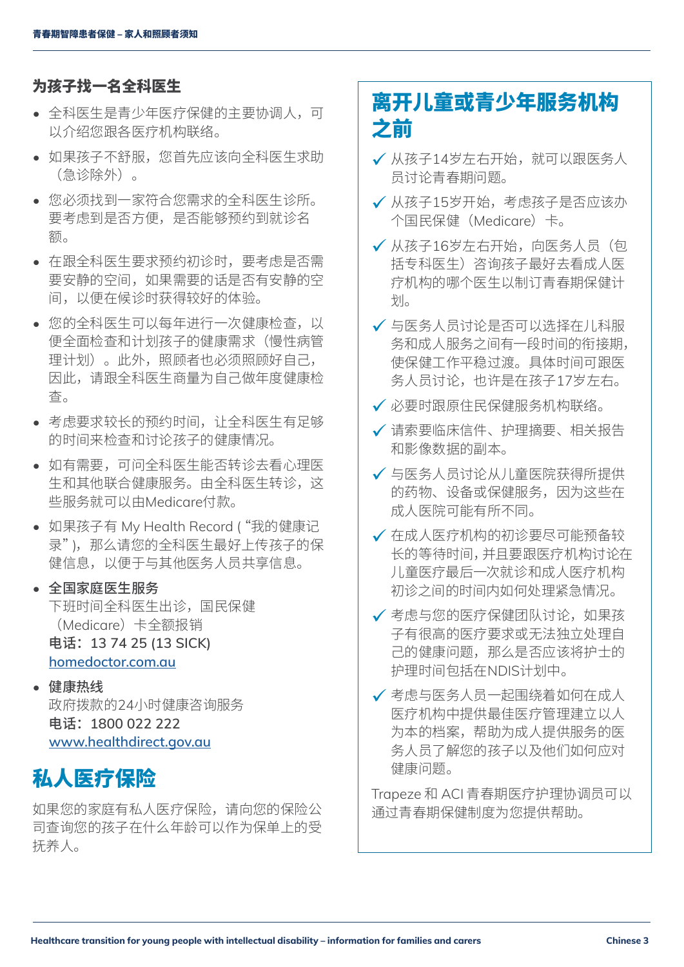## <span id="page-2-0"></span>为孩子找一名全科医生

- 全科医生是青少年医疗保健的主要协调人,可 以介绍您跟各医疗机构联络。
- 如果孩子不舒服,您首先应该向全科医生求助 (急诊除外)。
- 您必须找到一家符合您需求的全科医生诊所。 要考虑到是否方便,是否能够预约到就诊名 额。
- 在跟全科医生要求预约初诊时,要考虑是否需 要安静的空间,如果需要的话是否有安静的空 间,以便在候诊时获得较好的体验。
- 您的全科医生可以每年进行一次健康检查,以 便全面检查和计划孩子的健康需求(慢性病管 理计划)。此外,照顾者也必须照顾好自己, 因此,请跟全科医生商量为自己做年度健康检 查。
- 考虑要求较长的预约时间,让全科医生有足够 的时间来检查和讨论孩子的健康情况。
- 如有需要,可问全科医生能否转诊去看心理医 生和其他联合健康服务。由全科医生转诊,这 些服务就可以由Medicare付款。
- 如果孩子有 My Health Record ("我的健康记 录"),那么请您的全科医生最好上传孩子的保 健信息,以便于与其他医务人员共享信息。
- 全国家庭医生服务 下班时间全科医生出诊,国民保健 (Medicare)卡全额报销 电话:**13 74 25 (13 SICK) [homedoctor.com.au](https://homedoctor.com.au)**
- 健康热线 政府拨款的24小时健康咨询服务 电话:**1800 022 222 [www.healthdirect.gov.au](http://www.healthdirect.gov.au)**

# 私人医疗保险

如果您的家庭有私人医疗保险,请向您的保险公 司查询您的孩子在什么年龄可以作为保单上的受 抚养人。

## 离开儿童或青少年服务机构 之前

- ✔ 从孩子14岁左右开始, 就可以跟医务人 员讨论青春期问题。
- √ 从孩子15岁开始,考虑孩子是否应该办 个国民保健(Medicare)卡。
- ◆ 从孩子16岁左右开始,向医务人员(包) 括专科医生)咨询孩子最好去看成人医 疗机构的哪个医生以制订青春期保健计 划。
- 9 与医务人员讨论是否可以选择在儿科服 务和成人服务之间有一段时间的衔接期, 使保健工作平稳过渡。具体时间可跟医 务人员讨论,也许是在孩子17岁左右。
- 9 必要时跟原住民保健服务机构联络。
- ✔ 请索要临床信件、护理摘要、相关报告 和影像数据的副本。
- ✔ 与医务人员讨论从儿童医院获得所提供 的药物、设备或保健服务,因为这些在 成人医院可能有所不同。
- ✔ 在成人医疗机构的初诊要尽可能预备较 长的等待时间,并且要跟医疗机构讨论在 儿童医疗最后一次就诊和成人医疗机构 初诊之间的时间内如何处理紧急情况。
- ✔ 考虑与您的医疗保健团队讨论,如果孩 子有很高的医疗要求或无法独立处理自 己的健康问题,那么是否应该将护士的 护理时间包括在NDIS计划中。
- ✔ 考虑与医务人员一起围绕着如何在成人 医疗机构中提供最佳医疗管理建立以人 为本的档案,帮助为成人提供服务的医 务人员了解您的孩子以及他们如何应对 健康问题。

Trapeze 和 ACI 青春期医疗护理协调员可以 通过青春期保健制度为您提供帮助。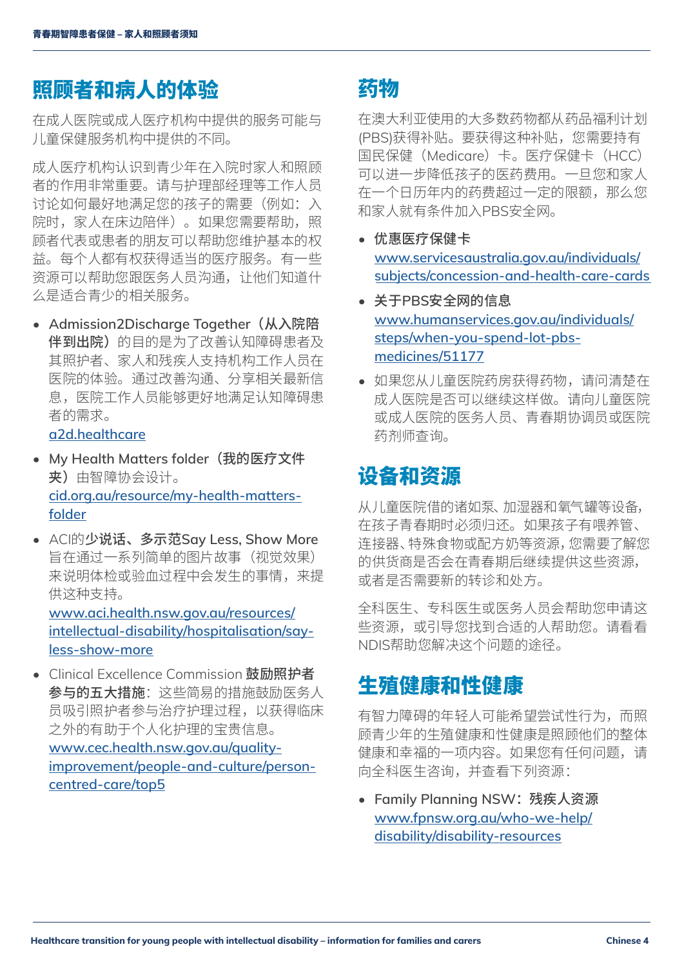## <span id="page-3-0"></span>照顾者和病人的体验

在成人医院或成人医疗机构中提供的服务可能与 儿童保健服务机构中提供的不同。

成人医疗机构认识到青少年在入院时家人和照顾 者的作用非常重要。请与护理部经理等工作人员 讨论如何最好地满足您的孩子的需要(例如:入 院时,家人在床边陪伴)。如果您需要帮助,照 顾者代表或患者的朋友可以帮助您维护基本的权 益。每个人都有权获得适当的医疗服务。有一些 资源可以帮助您跟医务人员沟通,让他们知道什 么是适合青少的相关服务。

• **Admission2Discharge Together**(从入院陪 伴到出院)的目的是为了改善认知障碍患者及 其照护者、家人和残疾人支持机构工作人员在 医院的体验。通过改善沟通、分享相关最新信 息,医院工作人员能够更好地满足认知障碍患 者的需求。

**[a2d.healthcare](http://a2d.healthcare)**

- **My Health Matters folder**(我的医疗文件 夹)由智障协会设计。 **[cid.org.au/resource/my-health-matters](http://cid.org.au/resource/my-health-matters-folder)[folder](http://cid.org.au/resource/my-health-matters-folder)**
- ACI的少说话、多示范**Say Less, Show More** 旨在通过一系列简单的图片故事(视觉效果) 来说明体检或验血过程中会发生的事情,来提 供这种支持。 **[www.aci.health.nsw.gov.au/resources/](http://www.aci.health.nsw.gov.au/resources/intellectual-disability/hospitalisation/say-less-show-more)**

**[intellectual-disability/hospitalisation/say](http://www.aci.health.nsw.gov.au/resources/intellectual-disability/hospitalisation/say-less-show-more)[less-show-more](http://www.aci.health.nsw.gov.au/resources/intellectual-disability/hospitalisation/say-less-show-more)**

• Clinical Excellence Commission 鼓励照护者 参与的五大措施:这些简易的措施鼓励医务人 员吸引照护者参与治疗护理过程,以获得临床 之外的有助于个人化护理的宝贵信息。 **[www.cec.health.nsw.gov.au/quality](http://www.cec.health.nsw.gov.au/quality-improvement/people-and-culture/person-centred-care/top5)[improvement/people-and-culture/person](http://www.cec.health.nsw.gov.au/quality-improvement/people-and-culture/person-centred-care/top5)[centred-care/top5](http://www.cec.health.nsw.gov.au/quality-improvement/people-and-culture/person-centred-care/top5)**

## 药物

在澳大利亚使用的大多数药物都从药品福利计划 (PBS)获得补贴。要获得这种补贴, 您需要持有 国民保健(Medicare)卡。医疗保健卡(HCC) 可以进一步降低孩子的医药费用。一旦您和家人 在一个日历年内的药费超过一定的限额,那么您 和家人就有条件加入PBS安全网。

- 优惠医疗保健卡 **[www.servicesaustralia.gov.au/individuals/](http://www.servicesaustralia.gov.au/individuals/subjects/concession-and-health-care-cards) [subjects/concession-and-health-care-cards](http://www.servicesaustralia.gov.au/individuals/subjects/concession-and-health-care-cards)**
- 关于**PBS**安全网的信息 **[www.humanservices.gov.au/individuals/](http://www.humanservices.gov.au/individuals/steps/when-you-spend-lot-pbs-medicines/51177) [steps/when-you-spend-lot-pbs](http://www.humanservices.gov.au/individuals/steps/when-you-spend-lot-pbs-medicines/51177)[medicines/51177](http://www.humanservices.gov.au/individuals/steps/when-you-spend-lot-pbs-medicines/51177)**
- 如果您从儿童医院药房获得药物,请问清楚在 成人医院是否可以继续这样做。请向儿童医院 或成人医院的医务人员、青春期协调员或医院 药剂师查询。

## 设备和资源

从儿童医院借的诸如泵、加湿器和氧气罐等设备, 在孩子青春期时必须归还。如果孩子有喂养管、 连接器、特殊食物或配方奶等资源,您需要了解您 的供货商是否会在青春期后继续提供这些资源, 或者是否需要新的转诊和处方。

全科医生、专科医生或医务人员会帮助您申请这 些资源,或引导您找到合适的人帮助您。请看看 NDIS帮助您解决这个问题的途径。

## 生殖健康和性健康

有智力障碍的年轻人可能希望尝试性行为,而照 顾青少年的生殖健康和性健康是照顾他们的整体 健康和幸福的一项内容。如果您有任何问题,请 向全科医生咨询,并查看下列资源:

• **Family Planning NSW**:残疾人资源 **[www.fpnsw.org.au/who-we-help/](http://www.fpnsw.org.au/who-we-help/disability/disability-resources) [disability/disability-resources](http://www.fpnsw.org.au/who-we-help/disability/disability-resources)**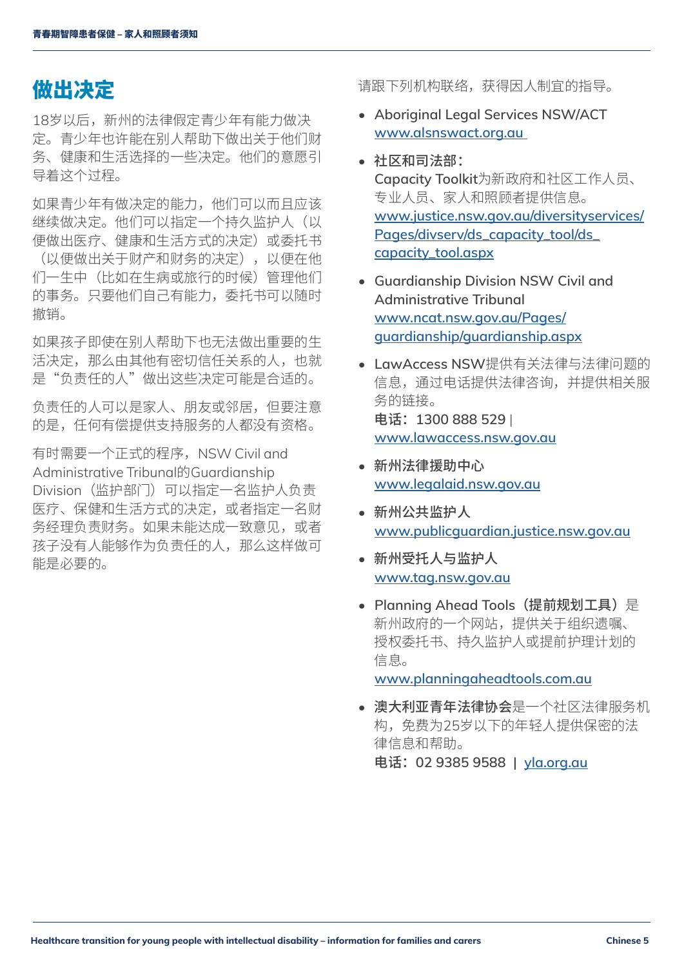## <span id="page-4-0"></span>做出决定

18岁以后,新州的法律假定青少年有能力做决 定。青少年也许能在别人帮助下做出关于他们财 务、健康和生活选择的一些决定。他们的意愿引 导着这个过程。

如果青少年有做决定的能力,他们可以而且应该 继续做决定。他们可以指定一个持久监护人(以 便做出医疗、健康和生活方式的决定)或委托书 (以便做出关于财产和财务的决定),以便在他 们一生中(比如在生病或旅行的时候)管理他们 的事务。只要他们自己有能力,委托书可以随时 撤销。

如果孩子即使在别人帮助下也无法做出重要的生 活决定,那么由其他有密切信任关系的人,也就 是"负责任的人"做出这些决定可能是合适的。

负责任的人可以是家人、朋友或邻居,但要注意 的是,任何有偿提供支持服务的人都没有资格。

有时需要一个正式的程序, NSW Civil and Administrative Tribunal的Guardianship Division (监护部门) 可以指定一名监护人负责 医疗、保健和生活方式的决定,或者指定一名财 务经理负责财务。如果未能达成一致意见,或者 孩子没有人能够作为负责任的人,那么这样做可 能是必要的。

请跟下列机构联络,获得因人制宜的指导。

- **Aboriginal Legal Services NSW/ACT www.alsnswact.org.au**
- 社区和司法部: **Capacity Toolkit**为新政府和社区工作人员、 专业人员、家人和照顾者提供信息。 **[www.justice.nsw.gov.au/diversityservices/](www.justice.nsw.gov.au/diversityservices/Pages/divserv/ds_capacity_tool/ds_capacity_tool.aspx) [Pages/divserv/ds\\_capacity\\_tool/ds\\_](www.justice.nsw.gov.au/diversityservices/Pages/divserv/ds_capacity_tool/ds_capacity_tool.aspx) [capacity\\_tool.aspx](www.justice.nsw.gov.au/diversityservices/Pages/divserv/ds_capacity_tool/ds_capacity_tool.aspx)**
- **Guardianship Division NSW Civil and Administrative Tribunal [www.ncat.nsw.gov.au/Pages/](http://www.ncat.nsw.gov.au/Pages/guardianship/guardianship.aspx) [guardianship/guardianship.aspx](http://www.ncat.nsw.gov.au/Pages/guardianship/guardianship.aspx)**
- **LawAccess NSW**提供有关法律与法律问题的 信息,通过电话提供法律咨询,并提供相关服 务的链接。 电话:**1300 888 529** | **<www.lawaccess.nsw.gov.au>**
- 新州法律援助中心 **www.legalaid.nsw.gov.au**
- 新州公共监护人 **www.publicguardian.justice.nsw.gov.au**
- 新州受托人与监护人 **www.tag.nsw.gov.au**
- **Planning Ahead Tools**(提前规划工具)是 新州政府的一个网站,提供关于组织遗嘱、 授权委托书、持久监护人或提前护理计划的 信息。

**<www.planningaheadtools.com.au>**

• 澳大利亚青年法律协会是一个社区法律服务机 构,免费为25岁以下的年轻人提供保密的法 律信息和帮助。

电话:**02 9385 9588 | <yla.org.au>**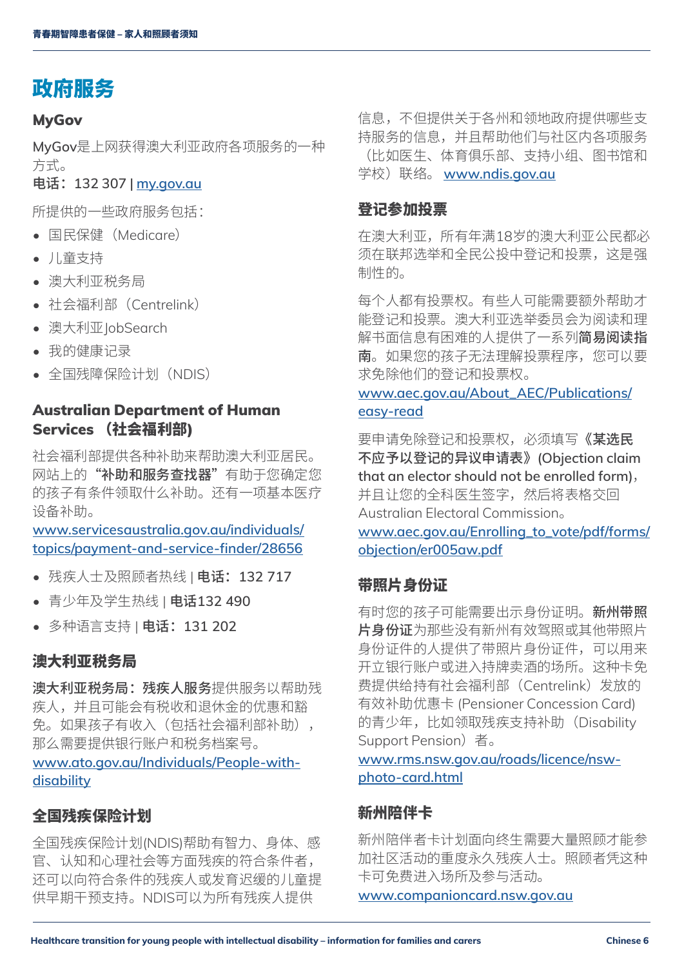## <span id="page-5-0"></span>政府服务

#### **MyGov**

**MyGov**是上网获得澳大利亚政府各项服务的一种 方式。

电话:**132 307 | [my.gov.au](https://my.gov.au)**

所提供的一些政府服务包括:

- 国民保健(Medicare)
- 儿童支持
- 澳大利亚税务局
- 社会福利部(Centrelink)
- 澳大利亚 lobSearch
- 我的健康记录
- 全国残障保险计划(NDIS)

## Australian Department of Human Services (社会福利部)

社会福利部提供各种补助来帮助澳大利亚居民。 网站上的"补助和服务查找器"有助于您确定您 的孩子有条件领取什么补助。还有一项基本医疗 设备补助。

**[www.servicesaustralia.gov.au/individuals/](http://www.servicesaustralia.gov.au/individuals/topics/payment-and-service-finder/28656) [topics/payment-and-service-finder/28656](http://www.servicesaustralia.gov.au/individuals/topics/payment-and-service-finder/28656)**

- 残疾人士及照顾者热线 | 电话:**132 717**
- 青少年及学生热线 | 电话**132 490**
- 多种语言支持 | 电话:**131 202**

### 澳大利亚税务局

澳大利亚税务局:残疾人服务提供服务以帮助残 疾人,并且可能会有税收和退休金的优惠和豁 免。如果孩子有收入(包括社会福利部补助), 那么需要提供银行账户和税务档案号。 **[www.ato.gov.au/Individuals/People-with-](http://www.ato.gov.au/Individuals/People-with-disability)**

#### **[disability](http://www.ato.gov.au/Individuals/People-with-disability)**

#### 全国残疾保险计划

全国残疾保险计划(NDIS)帮助有智力、身体、感 官、认知和心理社会等方面残疾的符合条件者, 还可以向符合条件的残疾人或发育迟缓的儿童提 供早期干预支持。NDIS可以为所有残疾人提供

信息,不但提供关于各州和领地政府提供哪些支 持服务的信息,并且帮助他们与社区内各项服务 (比如医生、体育俱乐部、支持小组、图书馆和 学校)联络。 **www.ndis.gov.au**

## 登记参加投票

在澳大利亚,所有年满18岁的澳大利亚公民都必 须在联邦选举和全民公投中登记和投票,这是强 制性的。

每个人都有投票权。有些人可能需要额外帮助才 能登记和投票。澳大利亚选举委员会为阅读和理 解书面信息有困难的人提供了一系列简易阅读指 南。如果您的孩子无法理解投票程序,您可以要 求免除他们的登记和投票权。

## **[www.aec.gov.au/About\\_AEC/Publications/](http://www.aec.gov.au/About_AEC/Publications/easy-read) [easy-read](http://www.aec.gov.au/About_AEC/Publications/easy-read)**

要申请免除登记和投票权,必须填写《某选民 不应予以登记的异议申请表》**(Objection claim that an elector should not be enrolled form)**, 并且让您的全科医生签字,然后将表格交回 Australian Electoral Commission。

**[www.aec.gov.au/Enrolling\\_to\\_vote/pdf/forms/](http://www.aec.gov.au/Enrolling_to_vote/pdf/forms/objection/er005aw.pdf) [objection/er005aw.pdf](http://www.aec.gov.au/Enrolling_to_vote/pdf/forms/objection/er005aw.pdf)**

## 带照片身份证

有时您的孩子可能需要出示身份证明。新州带照 片身份证为那些没有新州有效驾照或其他带照片 身份证件的人提供了带照片身份证件,可以用来 开立银行账户或进入持牌卖酒的场所。这种卡免 费提供给持有社会福利部(Centrelink)发放的 有效补助优惠卡 (Pensioner Concession Card) 的青少年,比如领取残疾支持补助(Disability Support Pension) 者。

**[www.rms.nsw.gov.au/roads/licence/nsw](http://www.rms.nsw.gov.au/roads/licence/nsw-photo-card.html)[photo-card.html](http://www.rms.nsw.gov.au/roads/licence/nsw-photo-card.html)**

## 新州陪伴卡

新州陪伴者卡计划面向终生需要大量照顾才能参 加社区活动的重度永久残疾人士。照顾者凭这种 卡可免费进入场所及参与活动。

**[www.companioncard.nsw.gov.au](http://www.companioncard.nsw.gov.au)**